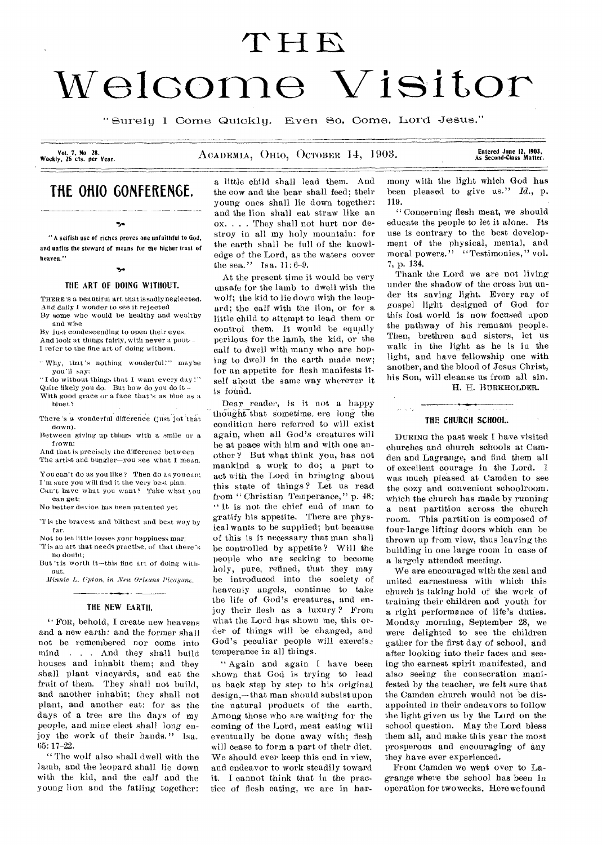# T**H** F.

# Welcome Visitor

"SureIy I Come Quickly. Even So, Come, Lord Jesus."

Vol. 7, No 28.<br>Weekly, 25 cts. per Year.

#### ACADEMIA, OHIO, OCTOBER 14, 1903.

Entered June 12, 1903,<br>As Second•Class Matter.

## **THE OHIO GONFERENGE.**

#### ۰.

" A selfish use of riches proves one unfaithful to God, and unfits the steward of means for the higher trust of heaven."

#### $\mathbf{v}_\text{rel}$

#### THE ART OF DOING WITHOUT.

THERE'S a beautiful art that issadly neglected. And daily I wonder to see it rejected By some who would be healthy and wealthy and wise

By just condescending to open their eyes, And look at things fairly, with never a pout--I refer to the fine art of doing without.

"Why, that's nothing wonderful!" maybe you'll say:

"I do without things that I want every day!" Quite likely you do. But how do you do it- -

With good grace or a face that's as blue as a bluet?

There's a wonderful difference (just jot that down).

Between giving up things with a smile or a frown:

And that is precisely the difference between The artist and bungler—you see what I mean.

You can't do as you like ? Then do as you can: I'm sure you will find it the very best plan. Can't have what you want? Take what you

can get: No better device has been patented yet

'T is the bravest and blithest and best way by far.

Not to let little losses your happiness mar;

Tis an art that needs practise, of that there's no doubt;

But 'the worth it—this fine art of doing without.

- *Minnie* L. *Upton, in* New Orleans Picayune. 

#### THE NEW EARTH.

" FOR, behold, I create new heavens and a new earth: and the former shall not be remembered nor come into mind . . . And they shall build houses and inhabit them; and they shall plant vineyards, and eat the fruit of them. They shall not build, and another inhabit; they shall not plant, and another eat: for as the days of a tree are the days of my people, and mine elect shall long enjoy the work of their hands." Isa. 65: 17-22.

"The wolf also shall dwell with the lamb, and the leopard shall lie down with the kid, and the calf and the young lion and the fatling together:

a little child shall lead them. And the cow and the bear shall feed: their young ones shall lie down together: and the lion shall eat straw like an ox. . . . They shall not hurt nor destroy in all my holy mountain: for the earth shall be full of the knowledge of the Lord, as the waters cover the sea." Isa. 11:6-9.

At the present time it would be very unsafe for the lamb to dwell with the wolf; the kid to lie down with the leopard; the calf with the lion, or for a little child to attempt to lead them or control them. It would be equally perilous for the lamb, the kid, or the calf to dwell with many who are hoping to dwell in the earth made new; for an appetite for flesh manifests itself about the same way wherever it is found.

Dear reader, is it not a happy thought that sometime. ere long the condition here referred to will exist again, when all God's creatures will be at peace with him and with one another ? But what think you, has not mankind a work to do; a part to act with the Lord in bringing about this state of things ? Let us read from "Christian Temperance," p. 48: " It is not the chief end of man to gratify his appetite. There are physical wants to be supplied; but because of this is it necessary that man shall be controlled by appetite ? Will the people who are seeking to become holy, pure, refined, that they may be introduced into the society of heavenly angels, continue to take the life of God's creatures, and enjoy their flesh as a luxury ? From what the Lord has shown me, this order of things will be changed, and God's peculiar people will exercise temperance in all things.

" Again and again I have been shown that God is trying to lead us back step by step to his original design,—that man should subsist upon the natural products of the earth. Among those who are waiting for the coming of the Lord, meat eating will eventually be done away with; flesh will cease to form a part of their diet. We should ever keep this end in view, and endeavor to work steadily toward it. I cannot think that in the practice of flesh eating, we are in harmony with the light which God has been pleased to give us." *Id.,* p. 119.

" Concerning flesh meat, we should educate the people to let it alone. Its use is contrary to the best development of the physical, mental, and moral powers." "Testimonies," vol. 7, p. 134.

Thank the Lord we are not living under the shadow of the cross but under its saving light. Every ray of gospel light designed of God for this lost world is now focused upon the pathway of his remnant people. Then, brethren and sisters, let us walk in the light as he is in the light, and have fellowship one with another, and the blood of Jesus Christ, his Son, will cleanse us from all sin. H. H. BURKHOLDER.

## THE CHURCH SCHOOL.

DURING the past week I have visited churches and church schools at Camden and Lagrange, and find them all of excellent courage in the Lord. I was much pleased at Camden to see the cozy and convenient schoolroom. which the church has made by running a neat partition across the church room. This partition is composed of four'large lifting doors which can be thrown up from view, thus leaving the building in one large room in case of a largely attended meeting.

We are encouraged with the zeal and united earnestness with which this church is taking hold of the work of training their children and youth for a right performance of life's duties. Monday morning, September 28, we were delighted to see the children gather for the first day of school, and after looking into their faces and seeing the earnest spirit manifested, and also seeing the consecration manifested by the teacher, we felt sure that the Camden church would not be disappointed in their endeavors to follow the light given us by the Lord on the school question. May the Lord bless them all, and make this year the most prosperous and encouraging of any they have ever experienced.

From Camden we went over to Lagrange where the school has been in operation for two weeks. Here we found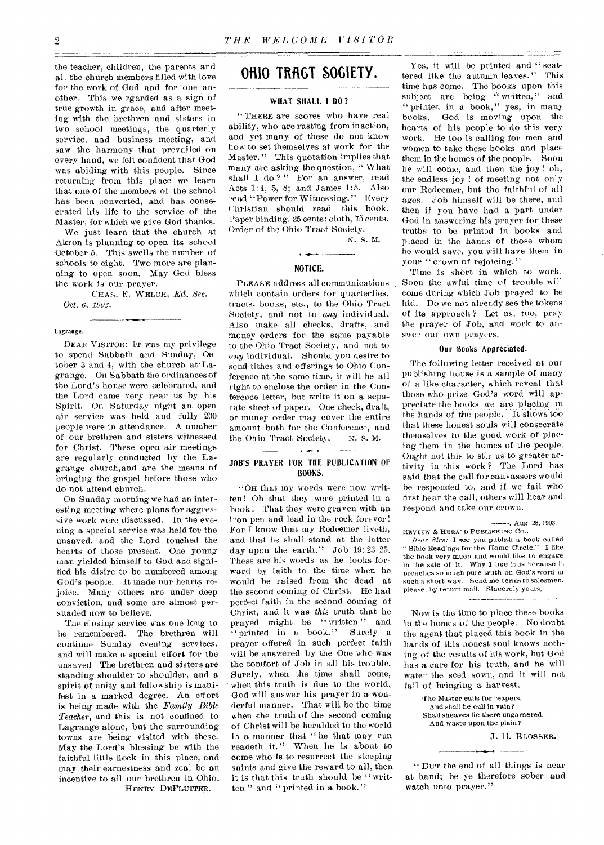the teacher, children, the parents and all the church members filled with love for the work of God and for one another. This we rgarded as a sign of true growth in grace, and after meeting with the brethren and sisters in two school meetings, the quarterly service, and business meeting, and saw the harmony that prevailed on every hand, we felt confident that God was abiding with this people. Since returning from this place we learn that one of the members of the school has been converted, and has consecrated his life to the service of the Master, for which we give God thanks.

We just learn that the church at Akron is planning to open its school October 5. This swells the number of schools to eight. Two more are planning to open soon. May God bless the work is our prayer.

CHAS. E. WELCH, *Ed. Sec. Oct. 6, 1903.* 

#### Lagrange.

DEAR VISITOR: IT was my privilege to spend Sabbath and Sunday, October 3 and 4, with the church at Lagrange. On Sabbath the ordinances of the Lord's house were celebrated, and the Lord came very near us by his Spirit. On Saturday night an open air service was held and fully 200 people were in attendance. A number of our brethren and sisters witnessed for Christ. These open air meetings are regularly conducted by the Lagrange church,and are the means of bringing the gospel before those who do not attend church.

On Sunday morning we had an interesting meeting where plans for aggressive work were discussed. In the evening a special service was held for the unsaved, and the Lord touched the hearts of those present. One young man yielded himself to God and signified his disire to be numbered among God's people. It made our hearts rejoice. Many others are under deep conviction, and some are almost persuaded now to believe.

The closing service was one long to be remembered. The brethren will continue Sunday evening services, and will make a special effort for the unsaved The brethren and sisters are standing shoulder to shoulder, and a spirit of unity and fellowship is manifest in a marked degree. An effort is being made with the *Family Bible Teacher,* and this is not confined to Lagrange alone, but the surrounding towns are being visited with these. May the Lord's blessing be with the faithful little flock in this place, and may their earnestness and zeal be an incentive to all our brethren in Ohio. HENRY DEFLUITER.

## OHIO TRAGT SOGIETY.

#### WHAT SHALL I DO ?

" THERE are scores who have real ability, who are rusting from inaction, and yet many of these do not know how to set themselves at work for the Master." This quotation implies that many are asking the question, " What shall I do?" For an answer, read Acts 1:4, 5, 8; and James 1:5. Also read "Power for Witnessing." Every Christian should read this book. Paper binding, 25 cents; cloth, 75 cents. Order of the Ohio Tract Society.

N. S. M.

#### NOTICE.

PLEASE address all communications which contain orders for quarterlies, tracts, books, etc., to the Ohio Tract Society, and not to any individual. Also make all checks, drafts, and money orders for the same payable to the Ohio Tract Society, and not to *(ray* individual. Should you desire to send tithes and offerings to Ohio Conference at the same time, it will be all right to enclose the order in the Conference letter, but write it on a separate sheet of paper. One check, draft, or money order may cover the entire amount both for the Conference, and<br>the Ohio Tract Society. N. S. M. the Ohio Tract Society.

#### JOB'S PRAYER FOR THE PUBLICATION OF BOOKS.

"OH that my words were now written! Oh that they were printed in a book ! That they were graven with an iron pen and lead in the rock forever! For I know that my Redeemer liveth, and that he shall stand at the latter day upon the earth." Job 19: 23-25. These are his words as he looks forward by faith to the time when he would be raised from the dead at the second coming of Christ. He had perfect faith in the second coming of Christ, and it was *this* truth that he prayed might be "written" and<br>" printed in a book." Surely a "printed in a book." Surely a prayer offered in such perfect faith will be answered by the One who was the comfort of Job in all his trouble. Surely, when the time shall come, when this truth is due to the world, God will answer his prayer in a wonderful manner. That will be the time when the truth of the second coming of Christ will be heralded to the world is a manner that "he that may run readeth it." When he is about to come who is to resurrect the sleeping saints and give the reward to all, then it is that this truth should be " written " and " printed in a book."

Yes, it will be printed and " scattered like the autumn leaves." This time has come. The books upon this subject are being " written," and "printed in a book," yes, in many books. God is moving upon the hearts of his people to do this very work. He too is calling for men and women to take these books and place them in the homes of the people. Soon he will come, and then the joy ! oh, the endless joy ! of meeting not only our Redeemer, but the faithful of all ages. Job himself will be there, and then if you have had a part under God in answering his prayer for these truths to be printed in books and placed in the hands of those whom he would save, you will have them in your "crown of rejoicing."

Time is short in which to work. Soon the awful time of trouble will come during which Job prayed to be hid. Do we not already see the tokens of its approach ? Let us, too, pray the prayer of Job, and work to answer our own prayers.

#### Our Books Appreciated.

The following letter received at our publishing house is a sample of many of a like character, which reveal that those who prize God's word will appreciate the books we are placing in the hands of the people. It shows too that these honest souls will consecrate themselves to the good work of placing them in the homes of the people. Ought not this to stir us to greater activity in this work ? The Lord has said that the call for canvassers would be responded to, and if we fail who first hear the call, others will hear and respond and take our crown.

#### . Aug 28, 1903.

REVIEW & HERA' D PUBLISHING CO.. *Dear Sirs:* I see you publish a book called<br>**Sinle Readings for the Home Circle.''** I like " Bible Readings for the Home Circle." the book very much and would like to engage in the sale of it. Why I like it is because it preaches so much pure truth on God's word in such a short way, Send me terms to salesmen, please. by return mail. Sincerely yours,

Now is the time to place these books in the homes of the people. No doubt the agent that placed this book in the hands of this honest soul knows nothing of the results of his work, but God has a care for his truth, and he will water the seed sown, and it will not fail of bringing a harvest.

> The Master calls for reapers, And shall he call in vain? Shall sheaves lie there ungarnered. And waste upon the plain?

> > J. B. BLOSSER.

" BUT the end of all things is near at hand; be ye therefore sober and watch unto prayer."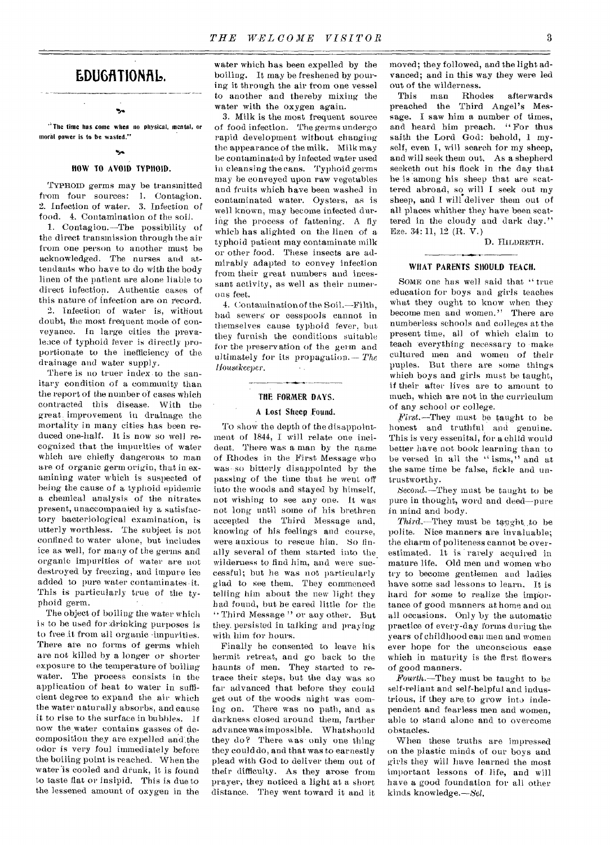## **LDUOTIONRID.**

'Ss "The time has come when no physical, mental, or moral power is to be wasted."

#### HOW TO AVOID TYPHOID.

TYPHOID germs may be transmitted from four sources: 1. Contagion. 2. Infection of water. 3. Infection of food. 4. Contamination of the soil.

1. Contagion.—The possibility of the direct transmission through the air from one person to another must be acknowledged. The nurses and attendants who have to do with the body linen of the patient are alone liable to direct infection. Authentic cases of this nature of infection are on record.

2. Infection of water is, without doubt, the most frequent mode of conveyance. In large cities the prevaleace of typhoid fever is directly proportionate to the inefficiency of the drainage and water supply.

There is no truer index to the sanitary condition of a community than the report of the number of cases which contracted this disease. With the great improvement in drainage the mortality in many cities has been reduced one-half. it is now so well recognized that the impurities of water which are chiefly dangerous to man are of organic germ origin, that in examining water which is suspected of being the cause of a typhoid epidemic a chemical analysis of the nitrates present, unaccompanied by a satisfactory bacteriological examination, is utterly worthless. The subject is not confined to water alone, but includes ice as well, for many of the germs and organic impurities of water are not destroyed by freezing, and impure ice added to pure water contaminates it. This is particularly true of the typhoid germ.

The object of boiling the water which is to be used for drinking purposes is to free it from all Organic impurities. There are no forms of germs which are not killed by a longer or shorter exposure to the temperature of boiling water. The process consists in the application of heat to water in sufficient degree to expand the air which the water naturally absorbs, and cause it to rise to the surface in bubbles. If now the water contains gasses of decomposition they are expelled and.the odor is very foul immediately before the boiling point is reached. When the water is cooled and drunk, it is found to taste flat or insipid. This is due to the lessened amount of oxygen in the

water which has been expelled by the boiling. It may be freshened by pouring it through the air from one vessel to another and thereby mixing the water with the oxygen again.

3. Milk is the most frequent source of food infection. The germs undergo rapid development without changing the appearance of the milk. Milk may be contaminated by infected water used in cleansing the cans. Typhoid germs may be conveyed upon raw vegetables and fruits which have been washed in contaminated water. Oysters, as is well known, may become infected during the process of fattening. A fly which has alighted on the linen of a typhoid patient may contaminate milk or other food. These insects are admirably adapted to convey infection from their great numbers and incessant activity, as well as their numerous feet.

4. Contamination of the Soil.—Filth, bad sewers or cesspools cannot in themselves cause typhoid fever, but they furnish the conditions suitable for the preservation of the germ and ultimately for its propagation.— *The*  Housekeeper.

## THE FORMER DAYS.

## A Lost Sheep found.

To show the depth of the disappointment of 1844, I will relate one incident. There was a man by the name of Rhodes in the First Message who was-so bitterly disappointed by the passing of the time that he went off into the woods and stayed by himself, not wishing to see any one. It was not long until some of his brethren accepted the Third Message and, knowing of his feelings and course, were anxious to rescue him. So finally several of them started into the. wilderness to find him, and were successful; but he was not particularly glad to see them. They commenced telling him about the new light they had found, but be cared little for the `• Third Message " or any other. But they. persisted in talking and praying with him for hours.

Finally he consented to leave his hermit retreat, and go back to the haunts of men. They started to retrace their steps, but the day was so far advanced that before they could get out of the woods night was coming on. There was no path, and as darkness closed around them, farther advance was impossible. What should they do? There was' only one thing they could do, and that was to earnestly plead with God to deliver them out of their difficulty. As they arose from prayer, they noticed a light at a short distance. They went toward it and it moved; they followed, and the light advanced; and in this way they were led out of the wilderness.<br>This man Rhodes

This man Rhodes afterwards preached the Third Angel's Message. I saw him a number of times. and heard him preach. " For thus saith the Lord God: behold, 1 myself, even I, will search for my sheep, and will seek them out. As a shepherd seeketh out his flock in the day that he is among his sheep that are scattered abroad, so will I seek out my sheep, and I will deliver them out of all places whither they have been scattered in the cloudy and dark day." Eze. 34: 11, 12 (R. V.)

D. IIILDRETH.

#### WHAT PARENTS SHOULD TEACH.

SOME one has well said that " true education for boys and girls teaches what they ought to know when they become men and women." There are numberless schools and colleges at the present time, all of which claim to teach 'everything necessary to -make cultured men and women of their puples. But there are some things which boys and girls must be taught, if their after lives are to amount to much, which are not in the curriculum of any school or college.

*First.—They* must be taught to be honest and truthful and genuine. This is very essenital, for a child would better have not book learning than to be versed in all the "isms," and at the same time be false, fickle and untrustworthy.

Second.—They must be taught to be pure in thought, word and deed—pure in mind and body.

*Third.*—They must be taught to be polite. Nice manners are invaluable; the charm of politeness cannot be overestimated. It is rarely acquired in mature life. Old men and women who try to become gentlemen and ladies have some sad lessons to learn. It is hard for some to realize the importance of good manners at home and on all occasions. Only by the automatic practice of every-day forms during the years of childhood can men and women ever hope for the unconscious ease which in maturity is the first flowers of good manners.

*.Fourth.—They* must be taught to be self-reliant and self-helpful and industrious, if they are to grow into independent and fearless men and women, able to stand alone and to overcome obstacles.

When these truths are impressed on the plastic minds of our boys and girls they will have learned the most important lessons of life, and will have a good foundation for all other kinds knowledge.—Sel.